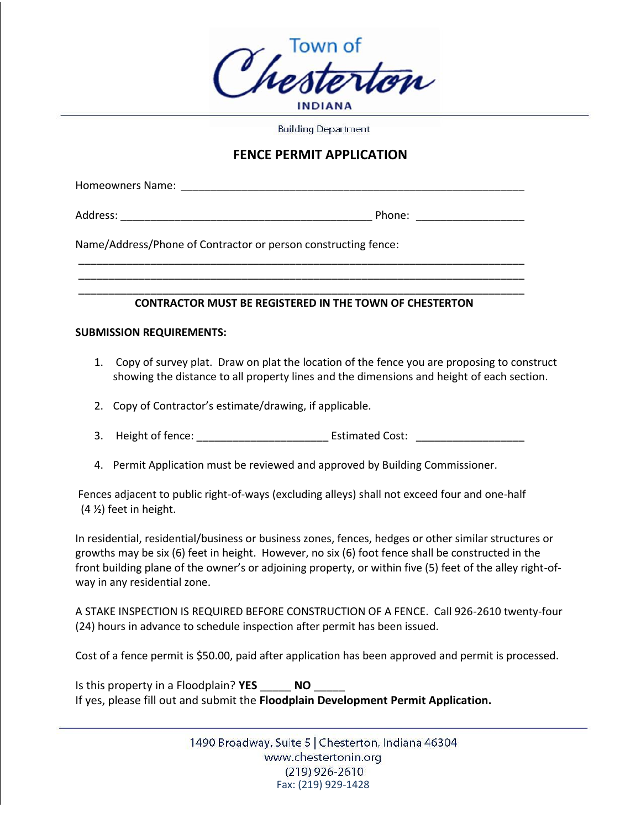

**Building Department** 

## **FENCE PERMIT APPLICATION**

Homeowners Name: **Manual** 

Address: extending the state of the state of the Phone:  $\blacksquare$ 

Name/Address/Phone of Contractor or person constructing fence:

## \_\_\_\_\_\_\_\_\_\_\_\_\_\_\_\_\_\_\_\_\_\_\_\_\_\_\_\_\_\_\_\_\_\_\_\_\_\_\_\_\_\_\_\_\_\_\_\_\_\_\_\_\_\_\_\_\_\_\_\_\_\_\_\_\_\_\_\_\_\_\_\_\_\_  **CONTRACTOR MUST BE REGISTERED IN THE TOWN OF CHESTERTON**

\_\_\_\_\_\_\_\_\_\_\_\_\_\_\_\_\_\_\_\_\_\_\_\_\_\_\_\_\_\_\_\_\_\_\_\_\_\_\_\_\_\_\_\_\_\_\_\_\_\_\_\_\_\_\_\_\_\_\_\_\_\_\_\_\_\_\_\_\_\_\_\_\_\_ \_\_\_\_\_\_\_\_\_\_\_\_\_\_\_\_\_\_\_\_\_\_\_\_\_\_\_\_\_\_\_\_\_\_\_\_\_\_\_\_\_\_\_\_\_\_\_\_\_\_\_\_\_\_\_\_\_\_\_\_\_\_\_\_\_\_\_\_\_\_\_\_\_\_

## **SUBMISSION REQUIREMENTS:**

- 1. Copy of survey plat. Draw on plat the location of the fence you are proposing to construct showing the distance to all property lines and the dimensions and height of each section.
- 2. Copy of Contractor's estimate/drawing, if applicable.
- 3. Height of fence: \_\_\_\_\_\_\_\_\_\_\_\_\_\_\_\_\_\_\_\_\_\_ Estimated Cost: \_\_\_\_\_\_\_\_\_\_\_\_\_\_\_\_\_\_
- 4. Permit Application must be reviewed and approved by Building Commissioner.

Fences adjacent to public right-of-ways (excluding alleys) shall not exceed four and one-half (4 ½) feet in height.

In residential, residential/business or business zones, fences, hedges or other similar structures or growths may be six (6) feet in height. However, no six (6) foot fence shall be constructed in the front building plane of the owner's or adjoining property, or within five (5) feet of the alley right-ofway in any residential zone.

A STAKE INSPECTION IS REQUIRED BEFORE CONSTRUCTION OF A FENCE. Call 926-2610 twenty-four (24) hours in advance to schedule inspection after permit has been issued.

Cost of a fence permit is \$50.00, paid after application has been approved and permit is processed.

Is this property in a Floodplain? **YES** \_\_\_\_\_ **NO** \_\_\_\_\_ If yes, please fill out and submit the **Floodplain Development Permit Application.** 

> 1490 Broadway, Suite 5 | Chesterton, Indiana 46304 www.chestertonin.org  $(219)$  926-2610 Fax: (219) 929-1428